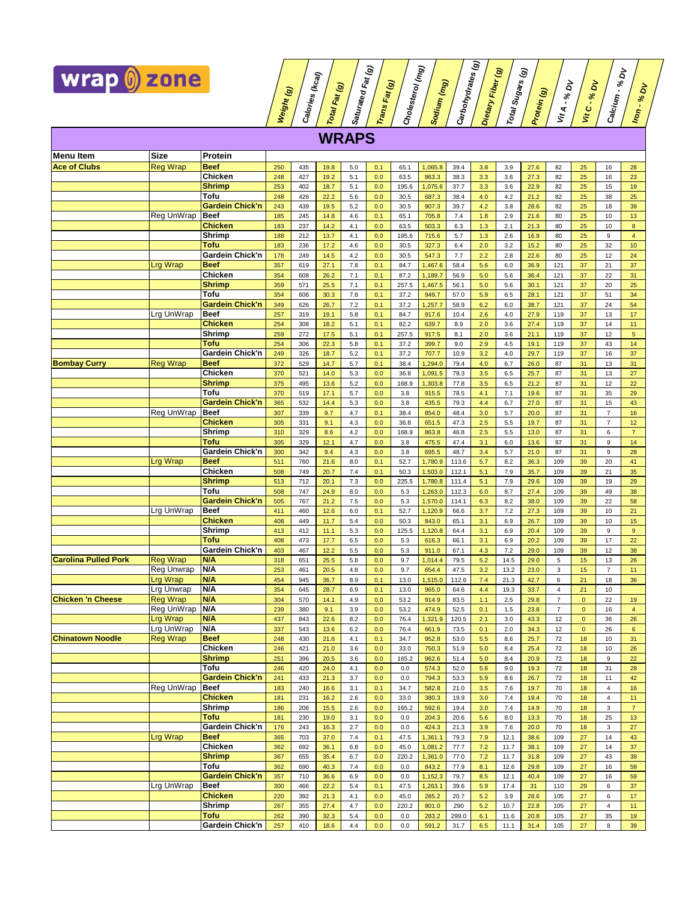

**Weight (g) Calories (kcal) Total Fat (g) Saturated Trans Fat (g) Cholesterol (mg) Sodium (mg) Carbohydrates (g) Dietary Total Sugars (g) Protein (g) Vit A - % Vit C - % Calcium - % Iron - % WRAPS Menu Item** Size Protein<br>
<u>Ace of Clubs Reg Wrap</u> Beef **Ace of Clubs** Reg Wrap **Beef** 250 435 19.8 5.0 0.1 65.1 1,065.8 39.4 3.8 3.9 27.6 82 25 16 28 **Chicken 248 427 19.2 5.1 0.0 63.5 863.3 38.3 3.3 3.3 3.6 27.3 82 25 16 23 Shrimp 253 | 402 | 18.7 | 5.1 | 0.0 | 195.6 | 1,075.6 | 37.7 | 3.3 | 3.6 | 22.9 | 82 | 25 | 15 | 19 Tofu** 248 426 22.2 5.6 0.0 30.5 687.3 38.4 4.0 4.2 21.2 82 25 38 25 **Gardein Chick'n** 243 439 19.5 5.2 0.0 30.5 907.3 39.7 4.2 3.8 28.6 82 25 18 39 Reg UnWrap | **Beef** | 185 | 245 | 14.8 | 4.6 | 0.1 | 65.1 | 705.8 | 7.4 | 1.8 | 2.9 | 21.6 | 80 | 25 | 10 | 13 **Chicken |** 183 | 237 | 14.2 | 4.1 | 0.0 | 63.5 | 503.3 | 6.3 | 1.3 | 2.1 | 21.3 | 80 | 25 | 10 | <mark>8</mark> **Shrimp 188 | 212 | 13.7 | 4.1 | 0.0 | 195.6 | 715.6 | 5.7 | 1.3 | 2.6 | 16.9 | 80 | 25 | 9 | 4 Tofu** 183 236 17.2 4.6 0.0 30.5 327.3 6.4 2.0 3.2 15.2 80 25 32 10 **Gardein Chick'n** 178 249 14.5 4.2 0.0 30.5 547.3 7.7 2.2 2.8 22.6 80 25 12 24<br>**Beef** 357 619 27.1 7.8 0.1 84.7 1,467.6 58.4 5.6 6.0 36.9 121 37 21 37 Lrg Wrap **Beef** 357 619 27.1 7.8 0.1 84.7 1,467.6 58.4 5.6 6.0 36.9 121 37 21 37 **Chicken** 354 608 26.2 7.1 0.1 87.2 1,189.7 56.9 5.0 5.6 36.4 121 37 22 31 **Shrimp** 359 571 25.5 7.1 0.1 257.5 1,467.5 56.1 5.0 5.6 30.1 121 37 20 25 **Tofu** 354 606 30.3 7.8 0.1 37.2 949.7 57.0 5.9 6.5 28.1 121 37 51 34 **Gardein Chick'n** 349 626 26.7 7.2 0.1 37.2 1,257.7 58.9 6.2 6.0 38.7 121 37 24 54 Lrg UnWrap **Beef** 257 319 19.1 5.8 0.1 84.7 917.6 10.4 2.6 4.0 27.9 119 37 13 17 **Chicken 254 308 18.2 5.1 0.1 82.2 639.7 8.9 2.0 3.6 27.4 119 37 14 11 Shrimp** 259 272 17.5 5.1 0.1 257.5 917.5 8.1 2.0 3.6 21.1 119 37 12 5 **Tofu** 254 306 22.3 5.8 0.1 37.2 399.7 9.0 2.9 4.5 19.1 119 37 43 14 **Gardein Chick'n** 249 326 18.7 5.2 0.1 37.2 707.7 10.9 3.2 4.0 29.7 119 37 16 37<br>**Beef** 372 529 147 5.7 01 38.4 1.2940 79.4 4.0 6.7 26.0 87 31 13 31 **Bombay Curry** Reg Wrap **Beef** 372 529 14.7 5.7 0.1 38.4 1,294.0 79.4 4.0 6.7 26.0 87 31 13 31 **Chicken 370 521 14.0 5.3 0.0 36.8 1,091.5 78.3 3.5 6.5 25.7 87 31 13 27 Shrimp |** 375 | 495 | 13.6 | 5.2 | 0.0 | 168.9 | 1,303.8 | 77.8 | 3.5 | 6.5 | 21.2 | 87 | 31 | 12 | 22 **Tofu** 370 519 17.1 5.7 0.0 3.8 915.5 78.5 4.1 7.1 19.6 87 31 35 29 **Gardein Chick'n | 365 | 532 | 14.4 | 5.3 | 0.0 | 3.8 | 435.5 | 79.3 | 4.4 | 6.7 | 27.0 | 87 | 31 | 15 | 43** Reg UnWrap **Beef** 307 339 9.7 4.7 0.1 38.4 854.0 48.4 3.0 5.7 20.0 87 31 7 16 **Chicken** 305 331 9.1 4.3 0.0 36.8 651.5 47.3 2.5 5.5 19.7 87 31 7 12 **Shrimp | 310 | 329 | 8.6 | 4.2 | 0.0 | 168.9 | 863.8 | 46.8 | 2.5 | 5.5 | 13.0 | 87 | 31 | 6 | 7** 

**Fat (g)**

**Fiber (g)**

<u>គ</u>

<u>គ</u>

**DV**

<u>ই</u>

| <u>somooy</u> our:          | wy wap          |                        | $\mathbf{u}$ | ັ   | .    |     |     | ⊶⊶    | .       |       | <b>T.V</b> | ັ    | $\sim$ | ັ              |              |                |                |
|-----------------------------|-----------------|------------------------|--------------|-----|------|-----|-----|-------|---------|-------|------------|------|--------|----------------|--------------|----------------|----------------|
|                             |                 | <b>Chicken</b>         | 370          | 521 | 14.0 | 5.3 | 0.0 | 36.8  | 1,091.5 | 78.3  | 3.5        | 6.5  | 25.7   | 87             | 31           | 13             | 27             |
|                             |                 | <b>Shrimp</b>          | 375          | 495 | 13.6 | 5.2 | 0.0 | 168.9 | 1,303.8 | 77.8  | 3.5        | 6.5  | 21.2   | 87             | 31           | 12             | 22             |
|                             |                 | Tofu                   | 370          | 519 | 17.1 | 5.7 | 0.0 | 3.8   | 915.5   | 78.5  | 4.1        | 7.1  | 19.6   | 87             | 31           | 35             | 29             |
|                             |                 | <b>Gardein Chick'n</b> | 365          | 532 | 14.4 | 5.3 | 0.0 | 3.8   | 435.5   | 79.3  | 4.4        | 6.7  | 27.0   | 87             | 31           | 15             | 43             |
|                             | Reg UnWrap      | <b>Beef</b>            | 307          | 339 | 9.7  | 4.7 | 0.1 | 38.4  | 854.0   | 48.4  | 3.0        | 5.7  | 20.0   | 87             | 31           | $\overline{7}$ | 16             |
|                             |                 | <b>Chicken</b>         | 305          | 331 | 9.1  | 4.3 | 0.0 | 36.8  | 651.5   | 47.3  | 2.5        | 5.5  | 19.7   | 87             | 31           | $\overline{7}$ | 12             |
|                             |                 | <b>Shrimp</b>          | 310          | 329 | 8.6  | 4.2 | 0.0 | 168.9 | 863.8   | 46.8  | 2.5        | 5.5  | 13.0   | 87             | 31           | 6              | $\overline{7}$ |
|                             |                 | Tofu                   | 305          | 329 | 12.1 | 4.7 | 0.0 | 3.8   | 475.5   | 47.4  | 3.1        | 6.0  | 13.6   | 87             | 31           | 9              | 14             |
|                             |                 | Gardein Chick'n        | 300          | 342 | 9.4  | 4.3 | 0.0 | 3.8   | 695.5   | 48.7  | 3.4        | 5.7  | 21.0   | 87             | 31           | 9              | 28             |
|                             | Lrg Wrap        | <b>Beef</b>            | 511          | 760 | 21.6 | 8.0 | 0.1 | 52.7  | 1,780.9 | 113.6 | 5.7        | 8.2  | 36.3   | 109            | 39           | 20             | 41             |
|                             |                 | <b>Chicken</b>         | 508          | 749 | 20.7 | 7.4 | 0.1 | 50.3  | 1,503.0 | 112.1 | 5.1        | 7.9  | 35.7   | 109            | 39           | 21             | 35             |
|                             |                 | <b>Shrimp</b>          | 513          | 712 | 20.1 | 7.3 | 0.0 | 225.5 | 1,780.8 | 111.4 | 5.1        | 7.9  | 29.6   | 109            | 39           | 19             | 29             |
|                             |                 | Tofu                   | 508          | 747 | 24.9 | 8.0 | 0.0 | 5.3   | 1,263.0 | 112.3 | 6.0        | 8.7  | 27.4   | 109            | 39           | 49             | 38             |
|                             |                 | <b>Gardein Chick'n</b> | 505          | 767 | 21.2 | 7.5 | 0.0 | 5.3   | 1,570.0 | 114.1 | 6.3        | 8.2  | 38.0   | 109            | 39           | 22             | 58             |
|                             | Lrg UnWrap      | <b>Beef</b>            | 411          | 460 | 12.6 | 6.0 | 0.1 | 52.7  | 1,120.9 | 66.6  | 3.7        | 7.2  | 27.3   | 109            | 39           | 10             | 21             |
|                             |                 | <b>Chicken</b>         | 408          | 449 | 11.7 | 5.4 | 0.0 | 50.3  | 843.0   | 65.1  | 3.1        | 6.9  | 26.7   | 109            | 39           | 10             | 15             |
|                             |                 | Shrimp                 | 413          | 412 | 11.1 | 5.3 | 0.0 | 125.5 | 1,120.8 | 64.4  | 3.1        | 6.9  | 20.4   | 109            | 39           | 9              | 9              |
|                             |                 | Tofu                   | 408          | 473 | 17.7 | 6.5 | 0.0 | 5.3   | 616.3   | 66.1  | 3.1        | 6.9  | 20.2   | 109            | 39           | 17             | 22             |
|                             |                 | Gardein Chick'n        | 403          | 467 | 12.2 | 5.5 | 0.0 | 5.3   | 911.0   | 67.1  | 4.3        | 7.2  | 29.0   | 109            | 39           | 12             | 38             |
| <b>Carolina Pulled Pork</b> | <b>Reg Wrap</b> | <b>N/A</b>             | 318          | 651 | 25.5 | 5.8 | 0.0 | 9.7   | 1,014.4 | 79.5  | 5.2        | 14.5 | 29.0   | 5              | 15           | 13             | 26             |
|                             | Reg Unwrap      | <b>N/A</b>             | 253          | 461 | 20.5 | 4.8 | 0.0 | 9.7   | 654.4   | 47.5  | 3.2        | 13.2 | 23.0   | 3              | 15           | $\overline{7}$ | 11             |
|                             | Lrg Wrap        | <b>N/A</b>             | 454          | 945 | 36.7 | 8.9 | 0.1 | 13.0  | 1,515.0 | 112.6 | 7.4        | 21.3 | 42.7   | 6              | 21           | 18             | 36             |
|                             | Lrg Unwrap      | N/A                    | 354          | 645 | 28.7 | 6.9 | 0.1 | 13.0  | 965.0   | 64.6  | 4.4        | 19.3 | 33.7   | $\overline{4}$ | 21           | 10             |                |
| <b>Chicken 'n Cheese</b>    | <b>Reg Wrap</b> | <b>N/A</b>             | 304          | 570 | 14.1 | 4.9 | 0.0 | 53.2  | 914.9   | 83.5  | 1.1        | 2.5  | 29.8   | $\overline{7}$ | $\mathbf{0}$ | 22             | 19             |
|                             | Reg UnWrap      | <b>N/A</b>             | 239          | 380 | 9.1  | 3.9 | 0.0 | 53.2  | 474.9   | 52.5  | 0.1        | 1.5  | 23.8   | $\overline{7}$ | $\mathbf{0}$ | 16             | $\overline{4}$ |
|                             | Lrg Wrap        | <b>N/A</b>             | 437          | 843 | 22.6 | 8.2 | 0.0 | 76.4  | 1,321.9 | 120.5 | 2.1        | 3.0  | 43.3   | 12             | $\mathbf{0}$ | 36             | 26             |
|                             | Lrg UnWrap      | <b>N/A</b>             | 337          | 543 | 13.6 | 6.2 | 0.0 | 76.4  | 661.9   | 73.5  | 0.1        | 2.0  | 34.3   | 12             | $\mathbf{0}$ | 26             | 6              |
| <b>Chinatown Noodle</b>     | <b>Reg Wrap</b> | <b>Beef</b>            | 248          | 430 | 21.6 | 4.1 | 0.1 | 34.7  | 952.8   | 53.0  | 5.5        | 8.6  | 25.7   | 72             | 18           | 10             | 31             |
|                             |                 | <b>Chicken</b>         | 246          | 421 | 21.0 | 3.6 | 0.0 | 33.0  | 750.3   | 51.9  | 5.0        | 8.4  | 25.4   | 72             | 18           | 10             | 26             |
|                             |                 | <b>Shrimp</b>          | 251          | 396 | 20.5 | 3.6 | 0.0 | 165.2 | 962.6   | 51.4  | 5.0        | 8.4  | 20.9   | 72             | 18           | 9              | 22             |
|                             |                 | Tofu                   | 246          | 420 | 24.0 | 4.1 | 0.0 | 0.0   | 574.3   | 52.0  | 5.6        | 9.0  | 19.3   | 72             | 18           | 31             | 28             |
|                             |                 | <b>Gardein Chick'n</b> | 241          | 433 | 21.3 | 3.7 | 0.0 | 0.0   | 794.3   | 53.3  | 5.9        | 8.6  | 26.7   | 72             | 18           | 11             | 42             |
|                             | Reg UnWrap      | <b>Beef</b>            | 183          | 240 | 16.6 | 3.1 | 0.1 | 34.7  | 582.8   | 21.0  | 3.5        | 7.6  | 19.7   | 70             | 18           | $\overline{4}$ | 16             |
|                             |                 | <b>Chicken</b>         | 181          | 231 | 16.2 | 2.6 | 0.0 | 33.0  | 380.3   | 19.9  | 3.0        | 7.4  | 19.4   | 70             | 18           | $\overline{4}$ | 11             |
|                             |                 | Shrimp                 | 186          | 206 | 15.5 | 2.6 | 0.0 | 165.2 | 592.6   | 19.4  | 3.0        | 7.4  | 14.9   | 70             | 18           | 3              | $\overline{7}$ |
|                             |                 | Tofu                   | 181          | 230 | 19.0 | 3.1 | 0.0 | 0.0   | 204.3   | 20.6  | 5.6        | 8.0  | 13.3   | 70             | 18           | 25             | 13             |
|                             |                 | Gardein Chick'n        | 176          | 243 | 16.3 | 2.7 | 0.0 | 0.0   | 424.3   | 21.3  | 3.9        | 7.6  | 20.0   | 70             | 18           | 3              | 27             |
|                             | Lrg Wrap        | <b>Beef</b>            | 365          | 703 | 37.0 | 7.4 | 0.1 | 47.5  | 1,361.1 | 79.3  | 7.9        | 12.1 | 38.6   | 109            | 27           | 14             | 43             |
|                             |                 | <b>Chicken</b>         | 362          | 692 | 36.1 | 6.8 | 0.0 | 45.0  | 1,081.2 | 77.7  | 7.2        | 11.7 | 38.1   | 109            | 27           | 14             | 37             |
|                             |                 | <b>Shrimp</b>          | 367          | 655 | 35.4 | 6.7 | 0.0 | 220.2 | 1,361.0 | 77.0  | 7.2        | 11.7 | 31.8   | 109            | 27           | 43             | 39             |
|                             |                 | Tofu                   | 362          | 690 | 40.3 | 7.4 | 0.0 | 0.0   | 843.2   | 77.9  | 8.1        | 12.6 | 29.8   | 109            | 27           | 16             | 59             |
|                             |                 | <b>Gardein Chick'n</b> | 357          | 710 | 36.6 | 6.9 | 0.0 | 0.0   | 1,152.3 | 79.7  | 8.5        | 12.1 | 40.4   | 109            | 27           | 16             | 59             |
|                             | Lrg UnWrap      | <b>Beef</b>            | 300          | 466 | 22.2 | 5.4 | 0.1 | 47.5  | 1,263.1 | 39.6  | 5.9        | 17.4 | 31     | 110            | 29           | 6              | 37             |
|                             |                 | <b>Chicken</b>         | 220          | 392 | 21.3 | 4.1 | 0.0 | 45.0  | 285.2   | 20.7  | 5.2        | 3.9  | 28.6   | 105            | 27           | 6              | 17             |
|                             |                 | Shrimp                 | 267          | 355 | 27.4 | 4.7 | 0.0 | 220.2 | 801.0   | 290   | 5.2        | 10.7 | 22.8   | 105            | 27           | $\overline{4}$ | 11             |
|                             |                 | Tofu                   | 262          | 390 | 32.3 | 5.4 | 0.0 | 0.0   | 283.2   | 299.0 | 6.1        | 11.6 | 20.8   | 105            | 27           | 35             | 19             |
|                             |                 | Gardein Chick'n        | 257          | 410 | 18.6 | 4.4 | 0.0 | 0.0   | 591.2   | 31.7  | 6.5        | 11.1 | 31.4   | 105            | 27           | 8              | 39             |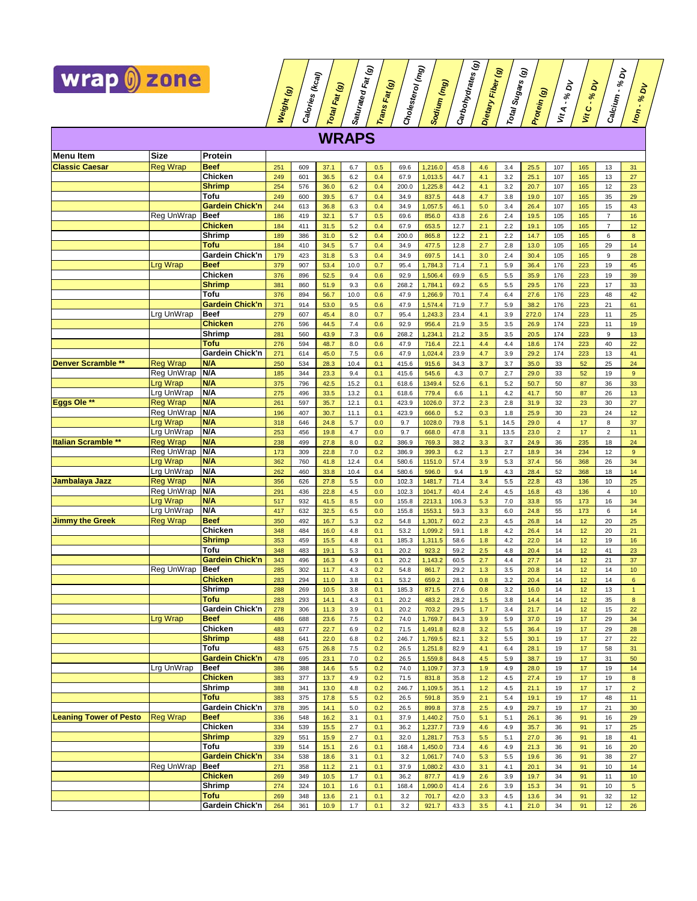

**Weight (g) Calories (kcal) Total Fat (g) Saturated Trans Fat (g) Cholesterol (mg) Sodium (mg) Carbohydrates (g) Dietary Total Sugars (g) Protein (g) Vit A - % Vit C - % Calcium - % Iron - % WRAPS Menu Item Size Protein Classic Caesar** Reg Wrap **Beef** 251 609 37.1 6.7 0.5 69.6 1,216.0 45.8 4.6 3.4 25.5 107 165 13 31 **Chicken 249 601 36.5 6.2 0.4 67.9 1,013.5 44.7 4.1 3.2 25.1 107 165 13 27 Shrimp | 254 | 576 | 36.0 | 6.2 | 0.4 | 200.0 | 1,225.8 | 44.2 | 4.1 | 3.2 | 20.7 | 107 | 165 | 12 | 23 Tofu** 249 600 39.5 6.7 0.4 34.9 837.5 44.8 4.7 3.8 19.0 107 165 35 29 **Gardein Chick'n** 244 613 36.8 6.3 0.4 34.9 1,057.5 46.1 5.0 3.4 26.4 107 165 15 43 Reg UnWrap | **Beef** | 186 | 419 | 32.1 | 5.7 | 0.5 | 69.6 | 856.0 | 43.8 | 2.6 | 2.4 | 19.5 | 105 | 165 | 7 | 16 **Chicken |** 184 | 411 | 31.5 | 5.2 | 0.4 | 67.9 | 653.5 | 12.7 | 2.1 | 2.2 | 19.1 | 105 | 165 | 7 | 12 **Shrimp 189 | 386 | 31.0 | 5.2 | 0.4 | 200.0 | 865.8 | 12.2 | 2.1 | 2.2 | 14.7 | 105 | 165 | 6 | 8 Tofu** 184 410 34.5 5.7 0.4 34.9 477.5 12.8 2.7 2.8 13.0 105 165 29 14 **Gardein Chick'n** 179 423 31.8 5.3 0.4 34.9 697.5 14.1 3.0 2.4 30.4 105 165 9 28 Lrg Wrap **Beef** 379 907 53.4 10.0 0.7 95.4 1,784.3 71.4 7.1 5.9 36.4 176 223 19 45 **Chicken 376 896 52.5 9.4 0.6 92.9 1,506.4 69.9 6.5 5.5 35.9 176 223 19 39 Shrimp** 381 860 51.9 9.3 0.6 268.2 1,784.1 69.2 6.5 5.5 29.5 176 223 17 33 **Tofu** 376 894 56.7 10.0 0.6 47.9 1,266.9 70.1 7.4 6.4 27.6 176 223 48 42 **Gardein Chick'n** 371 914 53.0 9.5 0.6 47.9 1,574.4 71.9 7.7 5.9 38.2 176 223 21 61 Lrg UnWrap **Beef** 279 607 45.4 8.0 0.7 95.4 1,243.3 23.4 4.1 3.9 272.0 174 223 11 25 **Chicken 276 596 44.5 7.4 0.6 92.9 956.4 21.9 3.5 3.5 26.9 174 223 11 19 Shrimp 281 | 560 | 43.9 | 7.3 | 0.6 | 268.2 | 1,234.1 | 21.2 | 3.5 | 3.5 | 20.5 | 174 | 223 | 9 | 13 Tofu** 276 594 48.7 8.0 0.6 47.9 716.4 22.1 4.4 4.4 18.6 174 223 40 22 **Gardein Chick'n** 271 614 45.0 7.5 0.6 47.9 1,024.4 23.9 4.7 3.9 29.2 174 223 13 41<br>**N/A** 250 534 28.3 10.4 0.1 415.6 915.6 34.3 3.7 3.7 35.0 33 52 25 24 **Denver Scramble \*\* Reg Wrap N/A 250 534 28.3 10.4 0.1 415.6 915.6 34.3 3.7 3.7 35.0 33 52 25 24 Reg UnWrap |N/A** 185 | 344 | 23.3 | 9.4 | 0.1 | 415.6 | 545.6 | 4.3 | 0.7 | 2.7 | 29.0 | 33 | 52 | 19 | 9 Lrg Wrap **N/A** 375 796 42.5 15.2 0.1 618.6 1349.4 52.6 6.1 5.2 50.7 50 87 36 33 Lrg UnWrap **N/A** 275 496 33.5 13.2 0.1 618.6 779.4 6.6 1.1 4.2 41.7 50 87 26 13 **Eggs Ole \*\*** <mark>Reg Wrap MA</mark> <mark>261 | 597 | 35.7 |</mark> 12.1 | 0.1 | 423.9 | 137.2 | 2.3 | 2.3 | 2.8 | 31.9 | 32 | 23 | 30 | 27 **Reg UnWrap |N/A** <mark>| 196 |</mark> 407 | 30.7 | 11.1 | 0.1 | 423.9 | 666.0 | 5.2 | 0.3 | 1.8 | 25.9 | 30 | 23 | 24 | 12 Lrg Wrap **N/A** 318 646 24.8 5.7 0.0 9.7 1028.0 79.8 5.1 14.5 29.0 4 17 8 37 Lrg UnWrap **N/A** 253 456 19.8 4.7 0.0 9.7 668.0 47.8 3.1 13.5 23.0 2 17 2 11 **Italian Scramble \*\* Reg Wrap <b>N/A** 238 499 27.8 8.0 0.2 386.9 769.3 38.2 3.3 3.7 24.9 36 235 18 24 **Reg UnWrap |N/A 173 | 309 | 22.8 | 7.0 | 0.2 | 396.9 <mark> 399.3 </mark> 6.2 | 1.3 | 2.7 | 18.9 | 34 | 234 | 12 | 9** Lrg Wrap **N/A** 362 760 41.8 12.4 0.4 580.6 1151.0 57.4 3.9 5.3 37.4 56 368 26 34 Lrg UnWrap **N/A** 262 460 33.8 10.4 0.4 580.6 596.0 9.4 1.9 4.3 28.4 52 368 18 14 **Jambalaya Jazz Reg Wrap <mark>N/A</mark> 356 | 27.8 | 3.5 0.0 | 1031. 1<sup>481.7</sup> | 71.4 <mark> 3.4 | 5.5 22.8 | 43 136 | 10 | 25**</mark> **Reg UnWrap |N/A | 291 | 436 | 22.8 | 4.5 | 0.0 | 102.3 | 1041.7 | 40.4 | 2.4 | 4.5 | 16.8 | 43 | 136 | 4 | 10** Lrg Wrap **N/A** 517 932 41.5 8.5 0.0 155.8 2213.1 106.3 5.3 7.0 33.8 55 173 16 34 Lrg UnWrap **N/A** 417 632 32.5 6.5 0.0 155.8 1553.1 59.3 3.3 6.0 24.8 55 173 6 14 **Jimmy the Greek** Reg Wrap **Beef** 350 492 16.7 5.3 0.2 54.8 1,301.7 60.2 2.3 4.5 26.8 14 12 20 25 **Chicken 348 484 16.0 4.8 0.1 53.2 1,099.2 59.1 1.8 4.2 26.4 14 12 20 21 Shrimp 353 459 15.5 4.8 0.1 185.3 1,311.5 58.6 1.8 4.2 22.0 14 12 19 16 Tofu** 348 483 19.1 5.3 0.1 20.2 923.2 59.2 2.5 4.8 20.4 14 12 41 23 **Gardein Chick'n** 343 496 16.3 4.9 0.1 20.2 1,143.2 60.5 2.7 4.4 27.7 14 12 21 37 **Reg UnWrap |Beef <mark>285 |</mark> 302 | 11.7 | 4.3 | 0.2 | 54.8 | 861.7 | 29.2 | 1.3 | 3.5 | 20.8 | 14 | 12 | 14 | 10 Chicken 283 294 11.0 3.8 0.1 53.2 659.2 28.1 0.8 3.2 20.4 14 12 14 6 Shrimp 288 1 269 10.5 1 3.8 1 0.1 1 185.3 1 871.5 1 27.6 1 0.8 1 3.2 1 16.0 1 4 1 12 1 3 1 1 Tofu** 283 293 14.1 4.3 0.1 20.2 483.2 28.2 1.5 3.8 14.4 14 12 35 8

**Fat (g)**

**Fiber (g)**

 $\vec{a}$ 

<u>គ</u>

 $\vec{a}$ 

<u>ই</u>

|                               |                 | varucin vinun n        | ა+ა | 490 | 10.3 | +.ວ | υ. ι | ZU.Z  | 1,140.Z | ບບ.ບ | 2.1 | 4.4 | 41.I | ., | 14 | 2 I | o r             |
|-------------------------------|-----------------|------------------------|-----|-----|------|-----|------|-------|---------|------|-----|-----|------|----|----|-----|-----------------|
|                               | Reg UnWrap      | <b>Beef</b>            | 285 | 302 | 11.7 | 4.3 | 0.2  | 54.8  | 861.7   | 29.2 | 1.3 | 3.5 | 20.8 | 14 | 12 | 14  | 10 <sup>°</sup> |
|                               |                 | <b>Chicken</b>         | 283 | 294 | 11.0 | 3.8 | 0.1  | 53.2  | 659.2   | 28.1 | 0.8 | 3.2 | 20.4 | 14 | 12 | 14  | 6               |
|                               |                 | <b>Shrimp</b>          | 288 | 269 | 10.5 | 3.8 | 0.1  | 185.3 | 871.5   | 27.6 | 0.8 | 3.2 | 16.0 | 14 | 12 | 13  |                 |
|                               |                 | Tofu                   | 283 | 293 | 14.1 | 4.3 | 0.1  | 20.2  | 483.2   | 28.2 | 1.5 | 3.8 | 14.4 | 14 | 12 | 35  | 8               |
|                               |                 | Gardein Chick'n        | 278 | 306 | 11.3 | 3.9 | 0.1  | 20.2  | 703.2   | 29.5 | 1.7 | 3.4 | 21.7 | 14 | 12 | 15  | 22              |
|                               | <b>Lrg Wrap</b> | <b>Beef</b>            | 486 | 688 | 23.6 | 7.5 | 0.2  | 74.0  | 1.769.7 | 84.3 | 3.9 | 5.9 | 37.0 | 19 | 17 | 29  | 34              |
|                               |                 | <b>Chicken</b>         | 483 | 677 | 22.7 | 6.9 | 0.2  | 71.5  | 1.491.8 | 82.8 | 3.2 | 5.5 | 36.4 | 19 | 17 | 29  | 28              |
|                               |                 | <b>Shrimp</b>          | 488 | 641 | 22.0 | 6.8 | 0.2  | 246.7 | 1.769.5 | 82.1 | 3.2 | 5.5 | 30.1 | 19 | 17 | 27  | 22              |
|                               |                 | Tofu                   | 483 | 675 | 26.8 | 7.5 | 0.2  | 26.5  | 1,251.8 | 82.9 | 4.1 | 6.4 | 28.1 | 19 | 17 | 58  | 31              |
|                               |                 | <b>Gardein Chick'n</b> | 478 | 695 | 23.1 | 7.0 | 0.2  | 26.5  | 1,559.8 | 84.8 | 4.5 | 5.9 | 38.7 | 19 | 17 | 31  | 50              |
|                               | Lrg UnWrap      | <b>Beef</b>            | 386 | 388 | 14.6 | 5.5 | 0.2  | 74.0  | 1.109.7 | 37.3 | 1.9 | 4.9 | 28.0 | 19 | 17 | 19  | 14              |
|                               |                 | <b>Chicken</b>         | 383 | 377 | 13.7 | 4.9 | 0.2  | 71.5  | 831.8   | 35.8 | 1.2 | 4.5 | 27.4 | 19 | 17 | 19  | 8               |
|                               |                 | Shrimp                 | 388 | 341 | 13.0 | 4.8 | 0.2  | 246.7 | 1.109.5 | 35.1 | 1.2 | 4.5 | 21.1 | 19 | 17 | 17  | $\overline{2}$  |
|                               |                 | Tofu                   | 383 | 375 | 17.8 | 5.5 | 0.2  | 26.5  | 591.8   | 35.9 | 2.1 | 5.4 | 19.1 | 19 | 17 | 48  | 11              |
|                               |                 | Gardein Chick'n        | 378 | 395 | 14.1 | 5.0 | 0.2  | 26.5  | 899.8   | 37.8 | 2.5 | 4.9 | 29.7 | 19 | 17 | 21  | 30              |
| <b>Leaning Tower of Pesto</b> | <b>Reg Wrap</b> | <b>Beef</b>            | 336 | 548 | 16.2 | 3.1 | 0.1  | 37.9  | 1.440.2 | 75.0 | 5.1 | 5.1 | 26.1 | 36 | 91 | 16  | 29              |
|                               |                 | Chicken                | 334 | 539 | 15.5 | 2.7 | 0.1  | 36.2  | 1,237.7 | 73.9 | 4.6 | 4.9 | 35.7 | 36 | 91 | 17  | 25              |
|                               |                 | <b>Shrimp</b>          | 329 | 551 | 15.9 | 2.7 | 0.1  | 32.0  | 1.281.7 | 75.3 | 5.5 | 5.1 | 27.0 | 36 | 91 | 18  | 41              |
|                               |                 | Tofu                   | 339 | 514 | 15.1 | 2.6 | 0.1  | 168.4 | 1,450.0 | 73.4 | 4.6 | 4.9 | 21.3 | 36 | 91 | 16  | 20              |
|                               |                 | <b>Gardein Chick'n</b> | 334 | 538 | 18.6 | 3.1 | 0.1  | 3.2   | 1,061.7 | 74.0 | 5.3 | 5.5 | 19.6 | 36 | 91 | 38  | 27              |
|                               | Reg UnWrap      | <b>Beef</b>            | 271 | 358 | 11.2 | 2.1 | 0.1  | 37.9  | 1.080.2 | 43.0 | 3.1 | 4.1 | 20.1 | 34 | 91 | 10  | 14              |
|                               |                 | <b>Chicken</b>         | 269 | 349 | 10.5 | 1.7 | 0.1  | 36.2  | 877.7   | 41.9 | 2.6 | 3.9 | 19.7 | 34 | 91 | 11  | 10 <sup>°</sup> |
|                               |                 | Shrimp                 | 274 | 324 | 10.1 | 1.6 | 0.1  | 168.4 | 1.090.0 | 41.4 | 2.6 | 3.9 | 15.3 | 34 | 91 | 10  | 5               |
|                               |                 | Tofu                   | 269 | 348 | 13.6 | 2.1 | 0.1  | 3.2   | 701.7   | 42.0 | 3.3 | 4.5 | 13.6 | 34 | 91 | 32  | 12              |
|                               |                 | Gardein Chick'n        | 264 | 361 | 10.9 | 1.7 | 0.1  | 3.2   | 921.7   | 43.3 | 3.5 | 4.1 | 21.0 | 34 | 91 | 12  | 26              |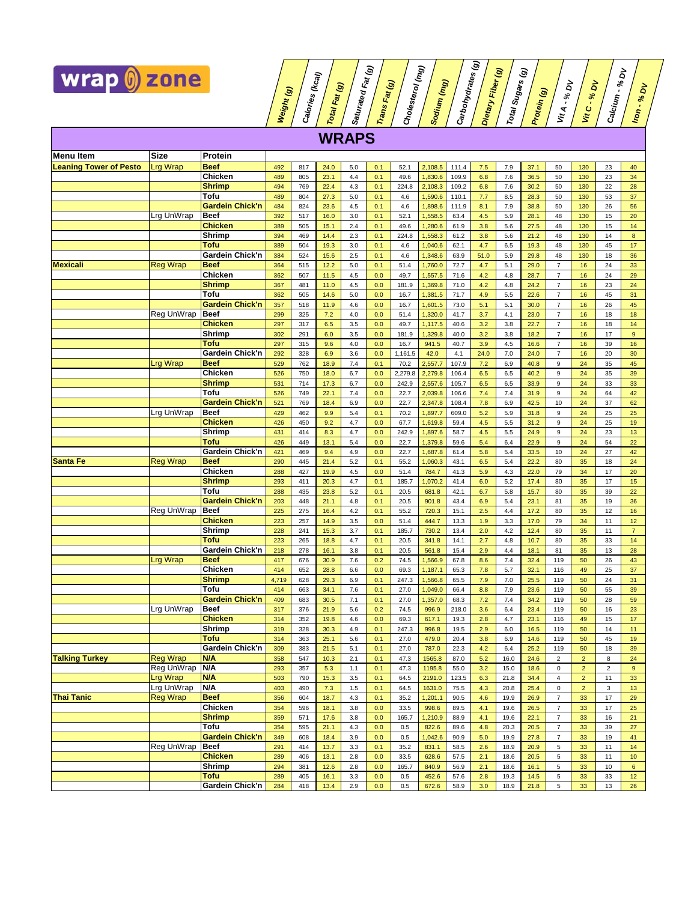

**Weight (g) Calories (kcal) Total Fat (g) Saturated Trans Fat (g) Cholesterol (mg) Sodium (mg) Carbohydrates (g) Dietary Total Sugars (g) Protein (g) Vit A - % Vit C - % Calcium - % Iron - % DV WRAPS**  Menu Item **Size Protein Leaning Tower of Pesto** Lrg Wrap **Beef** 492 817 24.0 5.0 0.1 52.1 2,108.5 111.4 7.5 7.9 37.1 50 130 23 40 **Chicken** 489 805 23.1 4.4 0.1 49.6 1,830.6 109.9 6.8 7.6 36.5 50 130 23 34 **Shrimp | 494 | 769 | 22.4 | 4.3 | 0.1 | 224.8 | 2,108.3 |** 109.2 | 6.8 | 7.6 | 30.2 | 50 130 | 22 | 28 **Tofu** <mark> 489 </mark> 804 <mark> 27.3 5.0 0.1 4.6 1.590.6 110.1 7.7 8.5 28.3 50 130 53 37</mark> **Gardein Chick'n** 484 824 23.6 4.5 0.1 4.6 1,898.6 111.9 8.1 7.9 38.8 50 130 26 56 Lrg UnWrap **Beef** 392 517 16.0 3.0 0.1 52.1 1,558.5 63.4 4.5 5.9 28.1 48 130 15 20 **Chicken** 389 505 15.1 2.4 0.1 49.6 1,280.6 61.9 3.8 5.6 27.5 48 130 15 14 **Shrimp** 394 469 14.4 2.3 0.1 224.8 1,558.3 61.2 3.8 5.6 21.2 48 130 14 8 **Tofu** 389 504 19.3 3.0 0.1 4.6 1,040.6 62.1 4.7 6.5 19.3 48 130 45 17 **Gardein Chick'n** 384 524 15.6 2.5 0.1 4.6 1,348.6 63.9 51.0 5.9 29.8 48 130 18 36 **Mexicali** Reg Wrap **Beef** 364 515 12.2 5.0 0.1 51.4 1,760.0 72.7 4.7 5.1 29.0 7 16 24 33 **Chicken 362 507 11.5 4.5 0.0 49.7 1,557.5 71.6 4.2 4.8 28.7 7 16 24 29 Shrimp 367 481 11.0 4.5 0.0 181.9 1,369.8** 71.0 4.2 4.8 24.2 7 16 23 24 **Tofu** 362 505 14.6 5.0 0.0 16.7 1,381.5 71.7 4.9 5.5 22.6 7 16 45 31 **Gardein Chick'n** 357 518 11.9 4.6 0.0 16.7 1,601.5 73.0 5.1 5.1 30.0 7 16 26 45 **Reg UnWrap |Beef <mark>299</mark> 325 7.2 4.0 <mark> 0.0 </mark> 51.4 <mark>1,320.0 </mark> 41.7 <mark> 3.7 </mark> 4.1 <mark>23.0 7 16 18 18</mark> Chicken 297 317 6.5 3.5 0.0 49.7 1,117.5 40.6 3.2 3.8 22.7 7 16 18 14 Shrimp** 302 291 6.0 3.5 0.0 181.9 1,329.8 40.0 3.2 3.8 18.2 7 16 17 9 **Tofu** 297 315 9.6 4.0 0.0 16.7 941.5 40.7 3.9 4.5 16.6 7 16 39 16 **Gardein Chick'n** 292 328 6.9 3.6 0.0 1,161.5 42.0 4.1 24.0 7.0 24.0 7 16 20 30 Lrg Wrap **Beef** 529 762 18.9 7.4 0.1 70.2 2,557.7 107.9 7.2 6.9 40.8 9 24 35 45 **Chicken** 526 750 18.0 6.7 0.0 2,279.8 2,279.8 106.4 6.5 6.5 40.2 9 24 35 39 **Shrimp 531 | 714 | 17.3 | 6.7 | 0.0 | 242.9 | 2,557.6 | 105.7 | 6.5 | 6.5 | 33.9 | 9 | 24 | 33 | 33 Tofu** 526 749 22.1 7.4 0.0 22.7 2,039.8 106.6 7.4 7.4 31.9 9 24 64 42 **Gardein Chick'n** 521 769 18.4 6.9 0.0 22.7 2,347.8 108.4 7.8 6.9 42.5 10 24 37 62 Lrg UnWrap **Beef** 429 462 9.9 5.4 0.1 70.2 1,897.7 609.0 5.2 5.9 31.8 9 24 25 25 **Chicken** 426 450 9.2 4.7 0.0 67.7 1,619.8 59.4 4.5 5.5 31.2 9 24 25 19 **Shrimp** 431 414 8.3 4.7 0.0 242.9 1,897.6 58.7 4.5 5.5 24.9 9 24 23 13 **Tofu** 426 449 13.1 5.4 0.0 22.7 1,379.8 59.6 5.4 6.4 22.9 9 24 54 22 **Gardein Chick'n** 421 469 **9.4** 4.9 **0.0** 22.7 **1,687.8** 61.4 **5.8** 5.4 **33.5** 10 **24** 27 42 **Santa Fe** Reg Wrap **Beef** 290 445 21.4 5.2 0.1 5.5.2 1,060.3 43.1 6.5 5.4 22.2 80 35 18 24 **Chicken 288 427 19.9 4.5 0.0 51.4 784.7 41.3 5.9 4.3 22.0 79 34 17 20 Shrimp | 293 |** 411 <mark>| 20.3 | 4.7 | 0.1 | 185.7 | 1,070.2</mark> | 41.4 | 6.0 | 5.2 | 17.4 | 80 | 35 | 17 | 15 **Tofu** <mark> 288 </mark> 435 <mark> 23.8 5.2 0.1 20.5 681.8 42.1 6.7 5.8 15.7 80 35 39 22</mark> **Gardein Chick'n** 203 448 21.1 4.8 0.1 20.5 901.8 43.4 6.9 5.4 23.1 81 35 19 36 Reg UnWrap Reef 225 275 16.4 4.2 0.1 55.2 720.3 15.1 2.5 4.4 17.2 80 35 12 16 **Chicken 223 257 14.9 3.5 0.0 51.4 444.7 13.3 1.9 3.3 17.0 79 34 11 12 Shrimp 228 241 15.3 3.7 0.1 185.7 730.2 13.4 2.0 4.2 12.4 80 35 11 7 Tofu** 223 265 18.8 4.7 0.1 20.5 341.8 14.1 2.7 4.8 10.7 80 35 33 14 **Gardein Chick'n** 218 278 16.1 3.8 0.1 20.5 561.8 15.4 2.9 4.4 18.1 81 35 13 28 Lrg Wrap **Beef** 417 676 30.9 7.6 0.2 74.5 1,566.9 67.8 8.6 7.4 32.4 119 50 26 43 **Chicken 414 652 28.8 6.6 0.0 69.3 1,187.1 65.3 7.8 5.7 32.1 116 49 25 37 Shrimp** 4,719 628 29.3 6.9 0.1 247.3 1,566.8 65.5 7.9 7.0 25.5 119 50 24 31 **Tofu** <mark>| 414 | 663 | 34.1 | 7.6 | 0.1 | 27.0 | 1,049.0 | 66.4 | 8.8 | 7.9 | 23.6 | 119 | 50 | 55 | 39</mark> **Gardein Chick'n** 409 683 30.5 7.1 0.1 27.0 1,357.0 68.3 7.2 7.4 34.2 119 50 28 59 Lrg UnWrap **Beef** 317 376 21.9 5.6 0.2 74.5 996.9 218.0 3.6 6.4 23.4 119 50 16 23 **Chicken** 314 352 19.8 4.6 0.0 69.3 617.1 19.3 2.8 4.7 23.1 116 49 15 17 **Shrimp** 319 328 30.3 4.9 0.1 247.3 996.8 19.5 2.9 6.0 16.5 119 50 14 11 **Tofu** 314 363 25.1 5.6 0.1 27.0 479.0 20.4 3.8 6.9 14.6 119 50 45 19 **Gardein Chick'n** 309 383 21.5 5.1 0.1 27.0 787.0 22.3 4.2 6.4 25.2 119 50 18 39 **Talking Turkey** Reg Wrap **N/A** 358 547 10.3 2.1 0.1 47.3 1565.8 87.0 5.2 16.0 24.6 2 2 8 24 Reg UnWrap |**N/A** <mark> 293 | 357 | 5.3 | 1.1 | 0.1 | 47.3 | 1195.8 | 55.0 | 3.2 | 15.0 | 18.6 | 0 <mark> 2 | 2 | 9</mark></mark> Lrg Wrap **N/A** 503 790 15.3 3.5 0.1 64.5 2191.0 123.5 6.3 21.8 34.4 4 2 11 33 Lrg UnWrap **N/A** 403 490 7.3 1.5 0.1 64.5 1631.0 75.5 4.3 20.8 25.4 0 2 3 13 **Thai Tanic** Reg Wrap **Beef** 356 604 18.7 4.3 0.1 35.2 1,201.1 90.5 4.6 19.9 26.9 7 33 17 29 **Chicken 354 596 18.1 3.8 0.0 33.5 998.6 89.5 4.1 19.6 26.5 7 33 17 25 Shrimp | 359 | 571 | 17.6 | 3.8 | 0.0 | 165.7 | 1,210.9 | 88.9 | 4.1 | 19.6 | 22.1 | 7 | 33 | 16 | 21** 

> **Tofu** <mark> 354 595 21.1 4.3 0.0 0.5 822.6 89.6 4.8 20.5 27 33 39 27</mark> **Gardein Chick'n** 349 608 18.4 3.9 0.0 0.5 1,042.6 90.9 5.0 19.9 27.8 7 33 19 41

> **Chicken** 289 406 13.1 2.8 0.0 33.5 628.6 57.5 2.1 18.6 20.5 5 33 11 10 **Shrimp** 294 381 12.6 2.8 0.0 165.7 840.9 56.9 2.1 18.6 16.1 5 33 10 6 **Tofu** 289 405 16.1 3.3 0.0 0.5 452.6 57.6 2.8 19.3 14.5 5 33 33 12 **Gardein Chick'n** 284 418 13.4 2.9 0.0 0.5 672.6 58.9 3.0 18.9 21.8 5 33 13 26

Reg UnWrap | **Beef** | 291 | 414 | 13.7 | 3.3 | 0.1 | 35.2 | 831.1 | 58.5 | 2.6 | 18.9 | 20.9 | 5 | 33 | 11 | 14

**Fat (g)**

**Fiber (g)**

 $\vec{a}$ 

<u>គ</u>

<u>ል</u>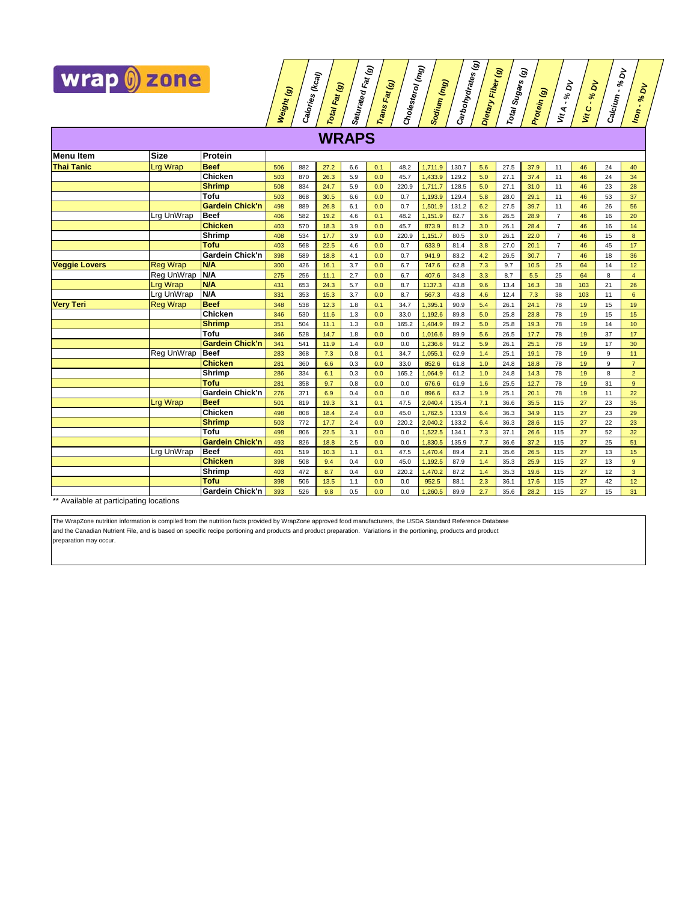

**Weight (g) Calories (kcal) Total Fat (g) Saturated Trans Fat (g) Cholesterol (mg) Sodium (mg) Carbohydrates (g) Dietary Total Sugars (g) Protein (g) Vit A - % Vit C - % Calcium - % Iron - % WRAPS Menu Item Size Protein Thai Tanic** Lrg Wrap **Beef** 506 882 27.2 6.6 0.1 48.2 1,711.9 130.7 5.6 27.5 37.9 11 46 24 40 **Chicken** 503 870 26.3 5.9 0.0 45.7 1,433.9 129.2 5.0 27.1 37.4 11 46 24 34 **Shrimp** 508 834 24.7 5.9 0.0 220.9 1,711.7 128.5 5.0 27.1 31.0 11 46 23 28 **Tofu** <mark>| 503 | 868 | 30.5 | 6.6 | 0.0 | 0.7 | 1,193.9 | 129.4 | 5.8 | 28.0 | 29.1 | 11 | 46 | 53 | 37</mark> **Gardein Chick'n** 498 889 26.8 6.1 0.0 0.7 1,501.9 131.2 6.2 27.5 39.7 11 46 26 56 Lrg UnWrap **Beef** 406 582 19.2 4.6 0.1 48.2 1,151.9 82.7 3.6 26.5 28.9 7 46 16 20 **Chicken | 403 570 18.3 3.9 0.0 45.7 873.9 81.2 3.0 26.1 28.4 7 46 16 14 Shrimp 408 | 534 | 17.7 | 3.9 | 0.0 | 220.9 | 1,151.7 | 80.5 | 3.0 | 26.1 | 22.0 | 7 | 46 | 15 | 8 Tofu** 403 568 22.5 4.6 0.0 0.7 633.9 81.4 3.8 27.0 20.1 7 46 45 17 **Gardein Chick'n** 398 589 18.8 4.1 0.0 0.7 941.9 83.2 4.2 26.5 30.7 7 46 18 36 **Veggie Lovers** Reg Wrap **N/A** 300 426 16.1 3.7 0.0 6.7 747.6 62.8 7.3 9.7 10.5 25 64 14 12 **Reg UnWrap <mark>N/A</mark> <mark> 275 </mark> 256 11.1 2.7 0.0 6.7 407.6 3.3 8.7 5.5 25 64 8 4** Lrg Wrap **N/A** 431 653 24.3 5.7 0.0 8.7 1137.3 43.8 9.6 13.4 16.3 38 103 21 26 Lrg UnWrap **N/A** 331 353 15.3 3.7 0.0 8.7 567.3 43.8 4.6 12.4 7.3 38 103 11 6 **Very Teri** Reg Wrap **Beef** 348 538 12.3 1.8 0.1 34.7 1,395.1 90.9 5.4 26.1 24.1 78 19 15 19 **Chicken 346 530 11.6 1.3 0.0 33.0 1,192.6 89.8 5.0 25.8 23.8 78 19 15 15 Shrimp 351 504 11.1 1.3 0.0 165.2 1,404.9 89.2 5.0 25.8 19.3 78 19 14 10 Tofu** 346 528 14.7 1.8 0.0 0.0 1,016.6 89.9 5.6 26.5 17.7 78 19 37 17 **Gardein Chick'n |** 341 | 541 | 11.9 | 1.4 | 0.0 | 0.0 | 1,236.6 | 91.2 | 5.9 | 26.1 | 25.1 | 78 | 19 | 17 | 30 **Reg UnWrap |Beef | 283 | 368 | 7.3 | 0.8 | 0.1 | 34.7 | 1,055.1 | 62.9 | 1.4 | 25.1 | 19.1 | 78 | 19 | 9 | 11 Chicken** 281 360 6.6 0.3 0.0 33.0 852.6 61.8 1.0 24.8 18.8 78 19 9 7 **Shrimp 286 | 334 | 6.1 | 0.3 | 0.0 | 165.2 | 1,064.9 | 61.2 | 1.0 | 24.8 | 14.3 | 78 | 19 | 8 | 2 Tofu** 281 358 9.7 0.8 0.0 0.0 676.6 61.9 1.6 25.5 12.7 78 19 31 9 **Gardein Chick'n** 276 371 6.9 0.4 0.0 0.0 896.6 63.2 1.9 25.1 20.1 78 19 11 22 Lrg Wrap **Beef** 501 819 19.3 3.1 0.1 47.5 2,040.4 135.4 7.1 36.6 35.5 115 27 23 35 **Chicken 498 808 18.4 2.4 0.0 15.62.5 133.9 6.4 36.3 34.9 115 27 23 29 Shrimp | 503 | 772 | 17.7 | 2.4 | 0.0 | 220.2 | 2,040.2 | 133.2 | 6.4 | 36.3 | 28.6 | 115 | 27 | 22 | 23 Tofu** <mark>| 498 | 806 | 22.5 | 3.1 | 0.0 | 0.0 | 1,522.5 | 134.1 | 7.3 | 37.1 | 26.6 | 115 | 27 | 52 | 32</mark> **Gardein Chick'n** 493 826 18.8 2.5 0.0 0.0 1,830.5 135.9 7.7 36.6 37.2 115 27 25 51 Lrg UnWrap **Beef** 401 519 10.3 1.1 0.1 47.5 1,470.4 89.4 2.1 35.6 26.5 115 27 13 15 **Chicken** 398 508 9.4 0.4 0.0 45.0 1,192.5 87.9 1.4 35.3 25.9 115 27 13 9 **Shrimp** 403 472 8.7 0.4 0.0 220.2 1,470.2 87.2 1.4 35.3 19.6 115 27 12 3

> **Tofu** <mark>| 398 | 506 | 13.5 |</mark> 1.1 | 0.0 | 0.0 | 952.5 | 88.1 | 2.3 | 36.1 | 17.6 | 115 | 27 | 42 | 12 **Gardein Chick'n** 393 526 9.8 0.5 0.0 0.0 1,260.5 89.9 2.7 35.6 28.2 115 27 15 31

**Fat (g)**

**Fiber (g)**

 $\vec{a}$ 

<u>គ</u>

**DV**

<u>ই</u>

Available at participating locations

and the Canadian Nutrient File, and is based on specific recipe portioning and products and product preparation. Variations in the portioning, products and product reparation may occur. The WrapZone nutrition information is compiled from the nutrition facts provided by WrapZone approved food manufacturers, the USDA Standard Reference Database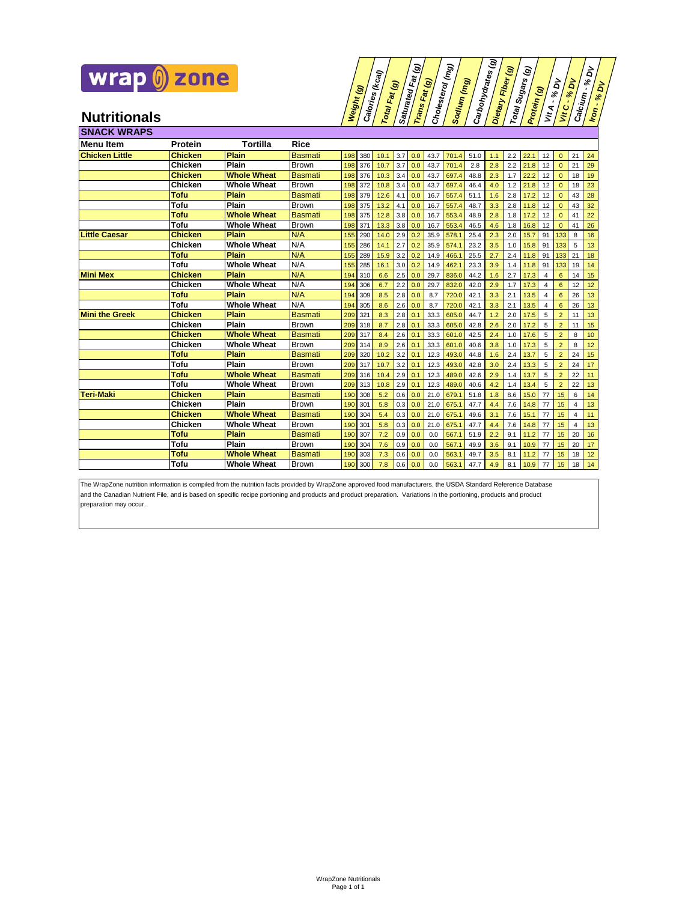

| $(\kappa_{\rm eq})$<br>Weight (g)<br>Calori <sub>es</sub><br>Fat | Fat (g)<br>මු<br>ම<br>Saturated<br>Fat | Cholesterol (mg)<br>(ng)<br>Sodium | Carbohydrates <sub>(g)</sub><br> <br>Θ<br>Fiber<br>Dietary | මි<br>Sugars<br>Protein (g)<br>ব | ā<br>$\aleph$<br>ನೆ<br>ō<br>,<br>$\aleph$<br>$\aleph$<br>Calcium<br>$\aleph$<br>$\cdot$<br>$\mathbf{r}$ |
|------------------------------------------------------------------|----------------------------------------|------------------------------------|------------------------------------------------------------|----------------------------------|---------------------------------------------------------------------------------------------------------|
| Total                                                            | Trans                                  |                                    | Total                                                      | ざ                                | <b>Lon</b><br>$\mathbf{S}$                                                                              |

| <b>SNACK WRAPS</b>    |                |                    |                |     |     |      |     |     |      |       |      |     |     |      |    |                |                |    |
|-----------------------|----------------|--------------------|----------------|-----|-----|------|-----|-----|------|-------|------|-----|-----|------|----|----------------|----------------|----|
| <b>Menu</b> Item      | Protein        | Tortilla           | <b>Rice</b>    |     |     |      |     |     |      |       |      |     |     |      |    |                |                |    |
| <b>Chicken Little</b> | <b>Chicken</b> | Plain              | <b>Basmati</b> | 198 | 380 | 10.1 | 3.7 | 0.0 | 43.7 | 701.4 | 51.0 | 1.1 | 2.2 | 22.1 | 12 | $\mathbf{0}$   | 21             | 24 |
|                       | Chicken        | Plain              | Brown          | 198 | 376 | 10.7 | 3.7 | 0.0 | 43.7 | 701.4 | 2.8  | 2.8 | 2.2 | 21.8 | 12 | $\mathbf{0}$   | 21             | 29 |
|                       | <b>Chicken</b> | <b>Whole Wheat</b> | <b>Basmati</b> | 198 | 376 | 10.3 | 3.4 | 0.0 | 43.7 | 697.4 | 48.8 | 2.3 | 1.7 | 22.2 | 12 | $\Omega$       | 18             | 19 |
|                       | Chicken        | <b>Whole Wheat</b> | Brown          | 198 | 372 | 10.8 | 3.4 | 0.0 | 43.7 | 697.4 | 46.4 | 4.0 | 1.2 | 21.8 | 12 | $\mathbf{0}$   | 18             | 23 |
|                       | Tofu           | <b>Plain</b>       | <b>Basmati</b> | 198 | 379 | 12.6 | 4.1 | 0.0 | 16.7 | 557.4 | 51.1 | 1.6 | 2.8 | 17.2 | 12 | $\Omega$       | 43             | 28 |
|                       | Tofu           | Plain              | Brown          | 198 | 375 | 13.2 | 4.1 | 0.0 | 16.7 | 557.4 | 48.7 | 3.3 | 2.8 | 11.8 | 12 | $\Omega$       | 43             | 32 |
|                       | Tofu           | <b>Whole Wheat</b> | Basmati        | 198 | 375 | 12.8 | 3.8 | 0.0 | 16.7 | 553.4 | 48.9 | 2.8 | 1.8 | 17.2 | 12 | $\Omega$       | 41             | 22 |
|                       | Tofu           | <b>Whole Wheat</b> | <b>Brown</b>   | 198 | 371 | 13.3 | 3.8 | 0.0 | 16.7 | 553.4 | 46.5 | 4.6 | 1.8 | 16.8 | 12 | $\mathbf{0}$   | 41             | 26 |
| <b>Little Caesar</b>  | <b>Chicken</b> | Plain              | N/A            | 155 | 290 | 14.0 | 2.9 | 0.2 | 35.9 | 578.1 | 25.4 | 2.3 | 2.0 | 15.7 | 91 | 133            | 8              | 16 |
|                       | Chicken        | <b>Whole Wheat</b> | N/A            | 155 | 286 | 14.1 | 2.7 | 0.2 | 35.9 | 574.1 | 23.2 | 3.5 | 1.0 | 15.8 | 91 | 133            | 5              | 13 |
|                       | Tofu           | <b>Plain</b>       | N/A            | 155 | 289 | 15.9 | 3.2 | 0.2 | 14.9 | 466.1 | 25.5 | 2.7 | 2.4 | 11.8 | 91 | 133            | 21             | 18 |
|                       | Tofu           | <b>Whole Wheat</b> | N/A            | 155 | 285 | 16.1 | 3.0 | 0.2 | 14.9 | 462.1 | 23.3 | 3.9 | 1.4 | 11.8 | 91 | 133            | 19             | 14 |
| <b>Mini Mex</b>       | <b>Chicken</b> | <b>Plain</b>       | N/A            | 194 | 310 | 6.6  | 2.5 | 0.0 | 29.7 | 836.0 | 44.2 | 1.6 | 2.7 | 17.3 | 4  | 6              | 14             | 15 |
|                       | Chicken        | <b>Whole Wheat</b> | N/A            | 194 | 306 | 6.7  | 2.2 | 0.0 | 29.7 | 832.0 | 42.0 | 2.9 | 1.7 | 17.3 | 4  | 6              | 12             | 12 |
|                       | <b>Tofu</b>    | Plain              | N/A            | 194 | 309 | 8.5  | 2.8 | 0.0 | 8.7  | 720.0 | 42.1 | 3.3 | 2.1 | 13.5 | 4  | 6              | 26             | 13 |
|                       | Tofu           | <b>Whole Wheat</b> | N/A            | 194 | 305 | 8.6  | 2.6 | 0.0 | 8.7  | 720.0 | 42.1 | 3.3 | 2.1 | 13.5 | 4  | 6              | 26             | 13 |
| <b>Mini the Greek</b> | <b>Chicken</b> | <b>Plain</b>       | <b>Basmati</b> | 209 | 321 | 8.3  | 2.8 | 0.1 | 33.3 | 605.0 | 44.7 | 1.2 | 2.0 | 17.5 | 5  | $\overline{2}$ | 11             | 13 |
|                       | Chicken        | Plain              | <b>Brown</b>   | 209 | 318 | 8.7  | 2.8 | 0.1 | 33.3 | 605.0 | 42.8 | 2.6 | 2.0 | 17.2 | 5  | $\overline{2}$ | 11             | 15 |
|                       | <b>Chicken</b> | <b>Whole Wheat</b> | <b>Basmati</b> | 209 | 317 | 8.4  | 2.6 | 0.1 | 33.3 | 601.0 | 42.5 | 2.4 | 1.0 | 17.6 | 5  | $\overline{2}$ | 8              | 10 |
|                       | Chicken        | <b>Whole Wheat</b> | <b>Brown</b>   | 209 | 314 | 8.9  | 2.6 | 0.1 | 33.3 | 601.0 | 40.6 | 3.8 | 1.0 | 17.3 | 5  | $\overline{2}$ | 8              | 12 |
|                       | Tofu           | <b>Plain</b>       | <b>Basmati</b> | 209 | 320 | 10.2 | 3.2 | 0.1 | 12.3 | 493.0 | 44.8 | 1.6 | 2.4 | 13.7 | 5  | $\overline{2}$ | 24             | 15 |
|                       | Tofu           | Plain              | <b>Brown</b>   | 209 | 317 | 10.7 | 3.2 | 0.1 | 12.3 | 493.0 | 42.8 | 3.0 | 2.4 | 13.3 | 5  | $\overline{2}$ | 24             | 17 |
|                       | Tofu           | <b>Whole Wheat</b> | <b>Basmati</b> | 209 | 316 | 10.4 | 2.9 | 0.1 | 12.3 | 489.0 | 42.6 | 2.9 | 1.4 | 13.7 | 5  | $\overline{2}$ | 22             | 11 |
|                       | Tofu           | <b>Whole Wheat</b> | Brown          | 209 | 313 | 10.8 | 2.9 | 0.1 | 12.3 | 489.0 | 40.6 | 4.2 | 1.4 | 13.4 | 5  | $\overline{2}$ | 22             | 13 |
| <b>Teri-Maki</b>      | <b>Chicken</b> | <b>Plain</b>       | <b>Basmati</b> | 190 | 308 | 5.2  | 0.6 | 0.0 | 21.0 | 679.1 | 51.8 | 1.8 | 8.6 | 15.0 | 77 | 15             | 6              | 14 |
|                       | Chicken        | Plain              | <b>Brown</b>   | 190 | 301 | 5.8  | 0.3 | 0.0 | 21.0 | 675.1 | 47.7 | 4.4 | 7.6 | 14.8 | 77 | 15             | 4              | 13 |
|                       | <b>Chicken</b> | <b>Whole Wheat</b> | <b>Basmati</b> | 190 | 304 | 5.4  | 0.3 | 0.0 | 21.0 | 675.1 | 49.6 | 3.1 | 7.6 | 15.1 | 77 | 15             | $\overline{4}$ | 11 |
|                       | Chicken        | <b>Whole Wheat</b> | <b>Brown</b>   | 190 | 301 | 5.8  | 0.3 | 0.0 | 21.0 | 675.1 | 47.7 | 4.4 | 7.6 | 14.8 | 77 | 15             | $\overline{4}$ | 13 |
|                       | Tofu           | <b>Plain</b>       | <b>Basmati</b> | 190 | 307 | 7.2  | 0.9 | 0.0 | 0.0  | 567.1 | 51.9 | 2.2 | 9.1 | 11.2 | 77 | 15             | 20             | 16 |
|                       | Tofu           | Plain              | Brown          | 190 | 304 | 7.6  | 0.9 | 0.0 | 0.0  | 567.1 | 49.9 | 3.6 | 9.1 | 10.9 | 77 | 15             | 20             | 17 |
|                       | Tofu           | <b>Whole Wheat</b> | Basmati        | 190 | 303 | 7.3  | 0.6 | 0.0 | 0.0  | 563.1 | 49.7 | 3.5 | 8.1 | 11.2 | 77 | 15             | 18             | 12 |
|                       | Tofu           | <b>Whole Wheat</b> | <b>Brown</b>   | 190 | 300 | 7.8  | 0.6 | 0.0 | 0.0  | 563.1 | 47.7 | 4.9 | 8.1 | 10.9 | 77 | 15             | 18             | 14 |

The WrapZone nutrition information is compiled from the nutrition facts provided by WrapZone approved food manufacturers, the USDA Standard Reference Database and the Canadian Nutrient File, and is based on specific recipe portioning and products and product preparation. Variations in the portioning, products and product preparation may occur.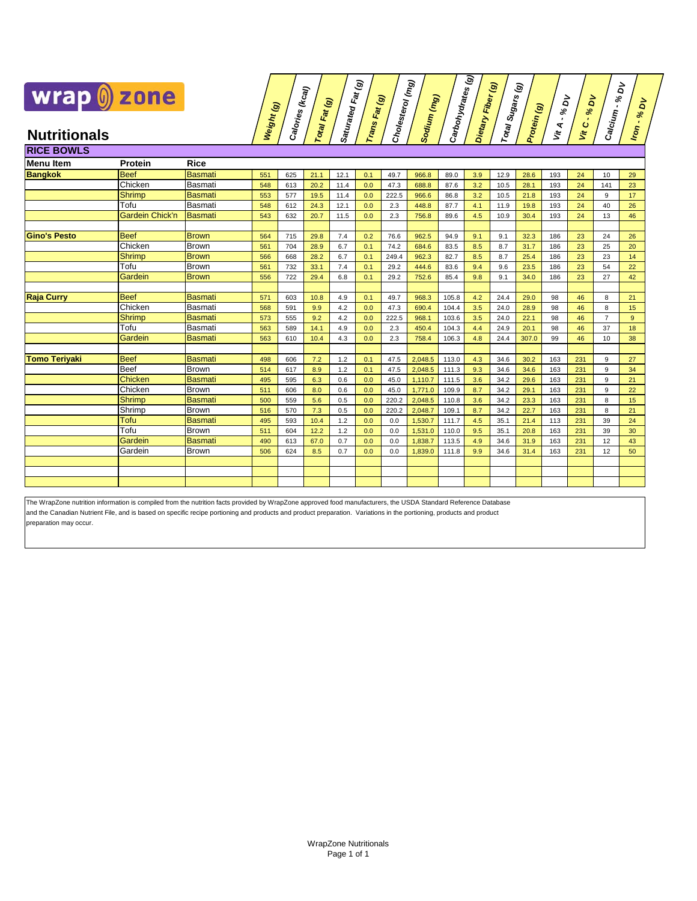

## **Calories (kcal) Total Fat (g) Saturated Fat (g) Trans Fat (g) Cholesterol (mg) Sodium (mg) Carbohydrates (g) Dietary Fiber (g) Total Sugars (g) Protein (g) Vit A - %** <u>គ</u> **Vit C - %** <u>ই</u> **Calcium - % DV Iron - %**  $\hat{\mathsf{q}}$

| <b>RICE BOWLS</b>    |                        |                |     |     |      |      |     |       |         |       |     |      |       |     |     |                |    |
|----------------------|------------------------|----------------|-----|-----|------|------|-----|-------|---------|-------|-----|------|-------|-----|-----|----------------|----|
| Menu Item            | Protein                | <b>Rice</b>    |     |     |      |      |     |       |         |       |     |      |       |     |     |                |    |
| <b>Bangkok</b>       | <b>Beef</b>            | <b>Basmati</b> | 551 | 625 | 21.1 | 12.1 | 0.1 | 49.7  | 966.8   | 89.0  | 3.9 | 12.9 | 28.6  | 193 | 24  | 10             | 29 |
|                      | Chicken                | <b>Basmati</b> | 548 | 613 | 20.2 | 11.4 | 0.0 | 47.3  | 688.8   | 87.6  | 3.2 | 10.5 | 28.1  | 193 | 24  | 141            | 23 |
|                      | <b>Shrimp</b>          | <b>Basmati</b> | 553 | 577 | 19.5 | 11.4 | 0.0 | 222.5 | 966.6   | 86.8  | 3.2 | 10.5 | 21.8  | 193 | 24  | 9              | 17 |
|                      | Tofu                   | Basmati        | 548 | 612 | 24.3 | 12.1 | 0.0 | 2.3   | 448.8   | 87.7  | 4.1 | 11.9 | 19.8  | 193 | 24  | 40             | 26 |
|                      | <b>Gardein Chick'n</b> | <b>Basmati</b> | 543 | 632 | 20.7 | 11.5 | 0.0 | 2.3   | 756.8   | 89.6  | 4.5 | 10.9 | 30.4  | 193 | 24  | 13             | 46 |
|                      |                        |                |     |     |      |      |     |       |         |       |     |      |       |     |     |                |    |
| <b>Gino's Pesto</b>  | <b>Beef</b>            | <b>Brown</b>   | 564 | 715 | 29.8 | 7.4  | 0.2 | 76.6  | 962.5   | 94.9  | 9.1 | 9.1  | 32.3  | 186 | 23  | 24             | 26 |
|                      | Chicken                | Brown          | 561 | 704 | 28.9 | 6.7  | 0.1 | 74.2  | 684.6   | 83.5  | 8.5 | 8.7  | 31.7  | 186 | 23  | 25             | 20 |
|                      | <b>Shrimp</b>          | <b>Brown</b>   | 566 | 668 | 28.2 | 6.7  | 0.1 | 249.4 | 962.3   | 82.7  | 8.5 | 8.7  | 25.4  | 186 | 23  | 23             | 14 |
|                      | Tofu                   | Brown          | 561 | 732 | 33.1 | 7.4  | 0.1 | 29.2  | 444.6   | 83.6  | 9.4 | 9.6  | 23.5  | 186 | 23  | 54             | 22 |
|                      | Gardein                | <b>Brown</b>   | 556 | 722 | 29.4 | 6.8  | 0.1 | 29.2  | 752.6   | 85.4  | 9.8 | 9.1  | 34.0  | 186 | 23  | 27             | 42 |
|                      |                        |                |     |     |      |      |     |       |         |       |     |      |       |     |     |                |    |
| <b>Raja Curry</b>    | <b>Beef</b>            | <b>Basmati</b> | 571 | 603 | 10.8 | 4.9  | 0.1 | 49.7  | 968.3   | 105.8 | 4.2 | 24.4 | 29.0  | 98  | 46  | 8              | 21 |
|                      | Chicken                | Basmati        | 568 | 591 | 9.9  | 4.2  | 0.0 | 47.3  | 690.4   | 104.4 | 3.5 | 24.0 | 28.9  | 98  | 46  | 8              | 15 |
|                      | <b>Shrimp</b>          | <b>Basmati</b> | 573 | 555 | 9.2  | 4.2  | 0.0 | 222.5 | 968.1   | 103.6 | 3.5 | 24.0 | 22.1  | 98  | 46  | $\overline{7}$ | 9  |
|                      | Tofu                   | Basmati        | 563 | 589 | 14.1 | 4.9  | 0.0 | 2.3   | 450.4   | 104.3 | 4.4 | 24.9 | 20.1  | 98  | 46  | 37             | 18 |
|                      | Gardein                | Basmati        | 563 | 610 | 10.4 | 4.3  | 0.0 | 2.3   | 758.4   | 106.3 | 4.8 | 24.4 | 307.0 | 99  | 46  | 10             | 38 |
| <b>Tomo Teriyaki</b> | <b>Beef</b>            | <b>Basmati</b> | 498 | 606 | 7.2  | 1.2  | 0.1 | 47.5  | 2,048.5 | 113.0 | 4.3 | 34.6 | 30.2  | 163 | 231 | 9              | 27 |
|                      | <b>Beef</b>            | <b>Brown</b>   | 514 | 617 | 8.9  | 1.2  | 0.1 | 47.5  | 2.048.5 | 111.3 | 9.3 | 34.6 | 34.6  | 163 | 231 | 9              | 34 |
|                      | <b>Chicken</b>         | <b>Basmati</b> | 495 | 595 | 6.3  | 0.6  | 0.0 | 45.0  | 1,110.7 | 111.5 | 3.6 | 34.2 | 29.6  | 163 | 231 | 9              | 21 |
|                      | Chicken                | <b>Brown</b>   | 511 | 606 | 8.0  | 0.6  | 0.0 | 45.0  | 1,771.0 | 109.9 | 8.7 | 34.2 | 29.1  | 163 | 231 | 9              | 22 |
|                      | Shrimp                 | <b>Basmati</b> | 500 | 559 | 5.6  | 0.5  | 0.0 | 220.2 | 2,048.5 | 110.8 | 3.6 | 34.2 | 23.3  | 163 | 231 | 8              | 15 |
|                      | Shrimp                 | <b>Brown</b>   | 516 | 570 | 7.3  | 0.5  | 0.0 | 220.2 | 2,048.7 | 109.1 | 8.7 | 34.2 | 22.7  | 163 | 231 | 8              | 21 |
|                      | Tofu                   | <b>Basmati</b> | 495 | 593 | 10.4 | 1.2  | 0.0 | 0.0   | 1,530.7 | 111.7 | 4.5 | 35.1 | 21.4  | 113 | 231 | 39             | 24 |
|                      | Tofu                   | <b>Brown</b>   | 511 | 604 | 12.2 | 1.2  | 0.0 | 0.0   | 1,531.0 | 110.0 | 9.5 | 35.1 | 20.8  | 163 | 231 | 39             | 30 |
|                      | Gardein                | <b>Basmati</b> | 490 | 613 | 67.0 | 0.7  | 0.0 | 0.0   | 1,838.7 | 113.5 | 4.9 | 34.6 | 31.9  | 163 | 231 | 12             | 43 |
|                      | Gardein                | <b>Brown</b>   | 506 | 624 | 8.5  | 0.7  | 0.0 | 0.0   | 1,839.0 | 111.8 | 9.9 | 34.6 | 31.4  | 163 | 231 | 12             | 50 |
|                      |                        |                |     |     |      |      |     |       |         |       |     |      |       |     |     |                |    |
|                      |                        |                |     |     |      |      |     |       |         |       |     |      |       |     |     |                |    |
|                      |                        |                |     |     |      |      |     |       |         |       |     |      |       |     |     |                |    |

preparation may occur. The WrapZone nutrition information is compiled from the nutrition facts provided by WrapZone approved food manufacturers, the USDA Standard Reference Database and the Canadian Nutrient File, and is based on specific recipe portioning and products and product preparation. Variations in the portioning, products and product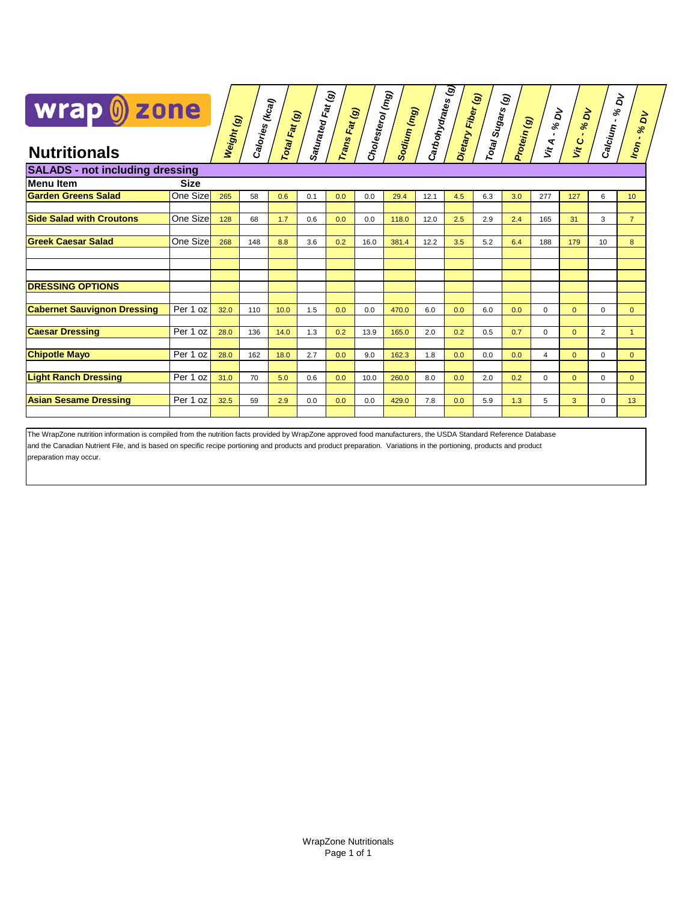

|                                        |             |            |                 |               | Saturated Fat (g) |               | Cholesterol (mg <sub>)</sub> |             |                            | $\mathfrak{S}$<br>Dietary Fiber (9) | Total Sugars (g) |             |              |                |                     | $\overrightarrow{\mathsf{a}}$ |
|----------------------------------------|-------------|------------|-----------------|---------------|-------------------|---------------|------------------------------|-------------|----------------------------|-------------------------------------|------------------|-------------|--------------|----------------|---------------------|-------------------------------|
| wrap () zone                           |             |            | Calories (kcal) | Total Fat (g) |                   | Trans Fat (g) |                              | Sodium (mg) | Carbohydrates <sub>(</sub> |                                     |                  |             | Vit A - % DV | % DV           | $\aleph$<br>$\cdot$ | δ                             |
|                                        |             | Weight (g) |                 |               |                   |               |                              |             |                            |                                     |                  | Protein (g) |              | Vit C.         | Calcium             | $\aleph$<br>Iron.             |
| <b>Nutritionals</b>                    |             |            |                 |               |                   |               |                              |             |                            |                                     |                  |             |              |                |                     |                               |
| <b>SALADS - not including dressing</b> |             |            |                 |               |                   |               |                              |             |                            |                                     |                  |             |              |                |                     |                               |
| <b>Menu Item</b>                       | <b>Size</b> |            |                 |               |                   |               |                              |             |                            |                                     |                  |             |              |                |                     |                               |
| <b>Garden Greens Salad</b>             | One Size    | 265        | 58              | 0.6           | 0.1               | 0.0           | 0.0                          | 29.4        | 12.1                       | 4.5                                 | 6.3              | 3.0         | 277          | 127            | 6                   | 10 <sup>°</sup>               |
| <b>Side Salad with Croutons</b>        |             |            |                 |               |                   |               |                              |             |                            |                                     |                  |             |              |                |                     |                               |
|                                        | One Size    | 128        | 68              | 1.7           | 0.6               | 0.0           | 0.0                          | 118.0       | 12.0                       | 2.5                                 | 2.9              | 2.4         | 165          | 31             | 3                   | 7 <sup>7</sup>                |
| <b>Greek Caesar Salad</b>              | One Size    | 268        | 148             | 8.8           | 3.6               | 0.2           | 16.0                         | 381.4       | 12.2                       | 3.5                                 | 5.2              | 6.4         | 188          | 179            | 10                  | 8                             |
|                                        |             |            |                 |               |                   |               |                              |             |                            |                                     |                  |             |              |                |                     |                               |
|                                        |             |            |                 |               |                   |               |                              |             |                            |                                     |                  |             |              |                |                     |                               |
| <b>DRESSING OPTIONS</b>                |             |            |                 |               |                   |               |                              |             |                            |                                     |                  |             |              |                |                     |                               |
|                                        |             |            |                 |               |                   |               |                              |             |                            |                                     |                  |             |              |                |                     |                               |
| <b>Cabernet Sauvignon Dressing</b>     | Per 1 oz    | 32.0       | 110             | 10.0          | 1.5               | 0.0           | 0.0                          | 470.0       | 6.0                        | 0.0                                 | 6.0              | 0.0         | 0            | $\overline{0}$ | 0                   | $\overline{0}$                |
|                                        |             |            |                 |               |                   |               |                              |             |                            |                                     |                  |             |              |                |                     |                               |
| <b>Caesar Dressing</b>                 | Per 1 oz    | 28.0       | 136             | 14.0          | 1.3               | 0.2           | 13.9                         | 165.0       | 2.0                        | 0.2                                 | 0.5              | 0.7         | $\Omega$     | $\overline{0}$ | $\overline{2}$      | $\mathbf{1}$                  |
| <b>Chipotle Mayo</b>                   | Per 1 oz    | 28.0       | 162             | 18.0          | 2.7               | 0.0           | 9.0                          | 162.3       | 1.8                        | 0.0                                 | 0.0              | 0.0         | 4            | $\Omega$       | $\Omega$            | $\overline{0}$                |
|                                        |             |            |                 |               |                   |               |                              |             |                            |                                     |                  |             |              |                |                     |                               |
| <b>Light Ranch Dressing</b>            | Per 1 oz    | 31.0       | 70              | 5.0           | 0.6               | 0.0           | 10.0                         | 260.0       | 8.0                        | 0.0                                 | 2.0              | 0.2         | $\Omega$     | $\overline{0}$ | $\Omega$            | $\overline{0}$                |
|                                        |             |            |                 |               |                   |               |                              |             |                            |                                     |                  |             |              |                |                     |                               |
| <b>Asian Sesame Dressing</b>           | Per 1 oz    | 32.5       | 59              | 2.9           | 0.0               | 0.0           | 0.0                          | 429.0       | 7.8                        | 0.0                                 | 5.9              | 1.3         | 5            | 3              | $\Omega$            | 13                            |
|                                        |             |            |                 |               |                   |               |                              |             |                            |                                     |                  |             |              |                |                     |                               |

<u>ឯ</u>

preparation may occur. The WrapZone nutrition information is compiled from the nutrition facts provided by WrapZone approved food manufacturers, the USDA Standard Reference Database and the Canadian Nutrient File, and is based on specific recipe portioning and products and product preparation. Variations in the portioning, products and product